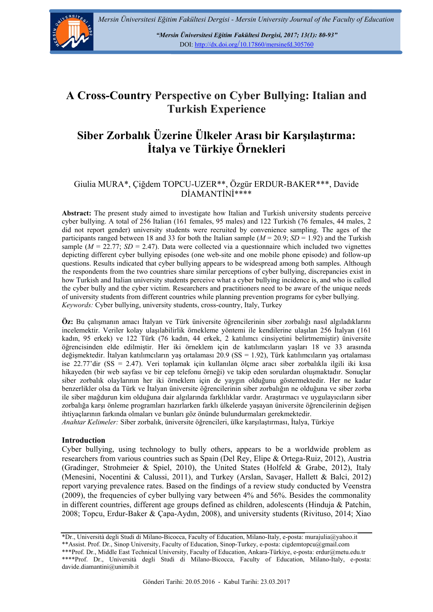

*"Mersin Üniversitesi Eğitim Fakültesi Dergisi, 2017; 13(1): 80-93"*  DOI: http://dx.doi.org/10.17860/mersinefd.305760

# **A Cross-Country Perspective on Cyber Bullying: Italian and Turkish Experience**

# **Siber Zorbalık Üzerine Ülkeler Arası bir Karşılaştırma: İtalya ve Türkiye Örnekleri**

## Giulia MURA\*, Çiğdem TOPCU-UZER\*\*, Özgür ERDUR-BAKER\*\*\*, Davide DİAMANTİNİ\*\*\*\*

**Abstract:** The present study aimed to investigate how Italian and Turkish university students perceive cyber bullying. A total of 256 Italian (161 females, 95 males) and 122 Turkish (76 females, 44 males, 2 did not report gender) university students were recruited by convenience sampling. The ages of the participants ranged between 18 and 33 for both the Italian sample  $(M = 20.9; SD = 1.92)$  and the Turkish sample ( $M = 22.77$ ;  $SD = 2.47$ ). Data were collected via a questionnaire which included two vignettes depicting different cyber bullying episodes (one web-site and one mobile phone episode) and follow-up questions. Results indicated that cyber bullying appears to be widespread among both samples. Although the respondents from the two countries share similar perceptions of cyber bullying, discrepancies exist in how Turkish and Italian university students perceive what a cyber bullying incidence is, and who is called the cyber bully and the cyber victim. Researchers and practitioners need to be aware of the unique needs of university students from different countries while planning prevention programs for cyber bullying. *Keywords:* Cyber bullying, university students, cross-country, Italy, Turkey

**Öz:** Bu çalışmanın amacı İtalyan ve Türk üniversite öğrencilerinin siber zorbalığı nasıl algıladıklarını incelemektir. Veriler kolay ulaşılabilirlik örnekleme yöntemi ile kendilerine ulaşılan 256 İtalyan (161 kadın, 95 erkek) ve 122 Türk (76 kadın, 44 erkek, 2 katılımcı cinsiyetini belirtmemiştir) üniversite öğrencisinden elde edilmiştir. Her iki örneklem için de katılımcıların yaşları 18 ve 33 arasında değişmektedir. İtalyan katılımcıların yaş ortalaması 20.9 (SS = 1.92), Türk katılımcıların yaş ortalaması ise 22.77'dir (SS = 2.47). Veri toplamak için kullanılan ölçme aracı siber zorbalıkla ilgili iki kısa hikayeden (bir web sayfası ve bir cep telefonu örneği) ve takip eden sorulardan oluşmaktadır. Sonuçlar siber zorbalık olaylarının her iki örneklem için de yaygın olduğunu göstermektedir. Her ne kadar benzerlikler olsa da Türk ve İtalyan üniversite öğrencilerinin siber zorbalığın ne olduğuna ve siber zorba ile siber mağdurun kim olduğuna dair algılarında farklılıklar vardır. Araştırmacı ve uygulayıcıların siber zorbalığa karşı önleme programları hazırlarken farklı ülkelerde yaşayan üniversite öğrencilerinin değişen ihtiyaçlarının farkında olmaları ve bunları göz önünde bulundurmaları gerekmektedir.

*Anahtar Kelimeler:* Siber zorbalık, üniversite öğrencileri, ülke karşılaştırması, İtalya, Türkiye

### **Introduction**

Cyber bullying, using technology to bully others, appears to be a worldwide problem as researchers from various countries such as Spain (Del Rey, Elipe & Ortega-Ruiz, 2012), Austria (Gradinger, Strohmeier & Spiel, 2010), the United States (Holfeld & Grabe, 2012), Italy (Menesini, Nocentini & Calussi, 2011), and Turkey (Arslan, Savaşer, Hallett & Balci, 2012) report varying prevalence rates. Based on the findings of a review study conducted by Veenstra (2009), the frequencies of cyber bullying vary between 4% and 56%. Besides the commonality in different countries, different age groups defined as children, adolescents (Hinduja & Patchin, 2008; Topcu, Erdur-Baker & Çapa-Aydın, 2008), and university students (Rivituso, 2014; Xiao

<sup>\*</sup>Dr., Università degli Studi di Milano-Bicocca, Faculty of Education, Milano-Italy, e-posta: murajulia@yahoo.it \*\*Assist. Prof. Dr., Sinop University, Faculty of Education, Sinop-Turkey, e-posta: cigdemtopcu@gmail.com \*\*\*Prof. Dr., Middle East Technical University, Faculty of Education, Ankara-Türkiye, e-posta: erdur@metu.edu.tr \*\*\*\*Prof. Dr., Università degli Studi di Milano-Bicocca, Faculty of Education, Milano-Italy, e-posta: davide.diamantini@unimib.it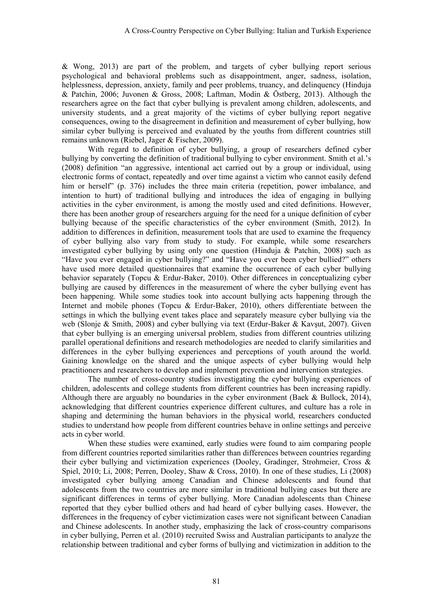& Wong, 2013) are part of the problem, and targets of cyber bullying report serious psychological and behavioral problems such as disappointment, anger, sadness, isolation, helplessness, depression, anxiety, family and peer problems, truancy, and delinquency (Hinduja & Patchin, 2006; Juvonen & Gross, 2008; Laftman, Modin & Östberg, 2013). Although the researchers agree on the fact that cyber bullying is prevalent among children, adolescents, and university students, and a great majority of the victims of cyber bullying report negative consequences, owing to the disagreement in definition and measurement of cyber bullying, how similar cyber bullying is perceived and evaluated by the youths from different countries still remains unknown (Riebel, Jager & Fischer, 2009).

With regard to definition of cyber bullying, a group of researchers defined cyber bullying by converting the definition of traditional bullying to cyber environment. Smith et al.'s (2008) definition "an aggressive, intentional act carried out by a group or individual, using electronic forms of contact, repeatedly and over time against a victim who cannot easily defend him or herself" (p. 376) includes the three main criteria (repetition, power imbalance, and intention to hurt) of traditional bullying and introduces the idea of engaging in bullying activities in the cyber environment, is among the mostly used and cited definitions. However, there has been another group of researchers arguing for the need for a unique definition of cyber bullying because of the specific characteristics of the cyber environment (Smith, 2012). In addition to differences in definition, measurement tools that are used to examine the frequency of cyber bullying also vary from study to study. For example, while some researchers investigated cyber bullying by using only one question (Hinduja & Patchin, 2008) such as "Have you ever engaged in cyber bullying?" and "Have you ever been cyber bullied?" others have used more detailed questionnaires that examine the occurrence of each cyber bullying behavior separately (Topcu & Erdur-Baker, 2010). Other differences in conceptualizing cyber bullying are caused by differences in the measurement of where the cyber bullying event has been happening. While some studies took into account bullying acts happening through the Internet and mobile phones (Topcu & Erdur-Baker, 2010), others differentiate between the settings in which the bullying event takes place and separately measure cyber bullying via the web (Slonje & Smith, 2008) and cyber bullying via text (Erdur-Baker & Kavşut, 2007). Given that cyber bullying is an emerging universal problem, studies from different countries utilizing parallel operational definitions and research methodologies are needed to clarify similarities and differences in the cyber bullying experiences and perceptions of youth around the world. Gaining knowledge on the shared and the unique aspects of cyber bullying would help practitioners and researchers to develop and implement prevention and intervention strategies.

The number of cross-country studies investigating the cyber bullying experiences of children, adolescents and college students from different countries has been increasing rapidly. Although there are arguably no boundaries in the cyber environment (Baek & Bullock, 2014), acknowledging that different countries experience different cultures, and culture has a role in shaping and determining the human behaviors in the physical world, researchers conducted studies to understand how people from different countries behave in online settings and perceive acts in cyber world.

When these studies were examined, early studies were found to aim comparing people from different countries reported similarities rather than differences between countries regarding their cyber bullying and victimization experiences (Dooley, Gradinger, Strohmeier, Cross & Spiel, 2010; Li, 2008; Perren, Dooley, Shaw & Cross, 2010). In one of these studies, Li (2008) investigated cyber bullying among Canadian and Chinese adolescents and found that adolescents from the two countries are more similar in traditional bullying cases but there are significant differences in terms of cyber bullying. More Canadian adolescents than Chinese reported that they cyber bullied others and had heard of cyber bullying cases. However, the differences in the frequency of cyber victimization cases were not significant between Canadian and Chinese adolescents. In another study, emphasizing the lack of cross-country comparisons in cyber bullying, Perren et al. (2010) recruited Swiss and Australian participants to analyze the relationship between traditional and cyber forms of bullying and victimization in addition to the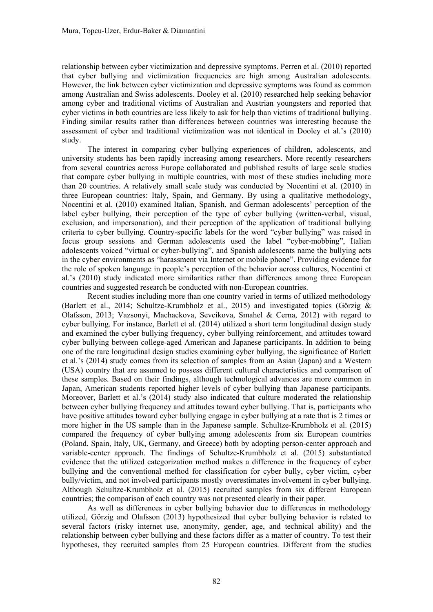relationship between cyber victimization and depressive symptoms. Perren et al. (2010) reported that cyber bullying and victimization frequencies are high among Australian adolescents. However, the link between cyber victimization and depressive symptoms was found as common among Australian and Swiss adolescents. Dooley et al. (2010) researched help seeking behavior among cyber and traditional victims of Australian and Austrian youngsters and reported that cyber victims in both countries are less likely to ask for help than victims of traditional bullying. Finding similar results rather than differences between countries was interesting because the assessment of cyber and traditional victimization was not identical in Dooley et al.'s (2010) study.

The interest in comparing cyber bullying experiences of children, adolescents, and university students has been rapidly increasing among researchers. More recently researchers from several countries across Europe collaborated and published results of large scale studies that compare cyber bullying in multiple countries, with most of these studies including more than 20 countries. A relatively small scale study was conducted by Nocentini et al. (2010) in three European countries: Italy, Spain, and Germany. By using a qualitative methodology, Nocentini et al. (2010) examined Italian, Spanish, and German adolescents' perception of the label cyber bullying, their perception of the type of cyber bullying (written-verbal, visual, exclusion, and impersonation), and their perception of the application of traditional bullying criteria to cyber bullying. Country-specific labels for the word "cyber bullying" was raised in focus group sessions and German adolescents used the label "cyber-mobbing", Italian adolescents voiced "virtual or cyber-bullying", and Spanish adolescents name the bullying acts in the cyber environments as "harassment via Internet or mobile phone". Providing evidence for the role of spoken language in people's perception of the behavior across cultures, Nocentini et al.'s (2010) study indicated more similarities rather than differences among three European countries and suggested research be conducted with non-European countries.

Recent studies including more than one country varied in terms of utilized methodology (Barlett et al., 2014; Schultze-Krumbholz et al., 2015) and investigated topics (Görzig & Olafsson, 2013; Vazsonyi, Machackova, Sevcikova, Smahel & Cerna, 2012) with regard to cyber bullying. For instance, Barlett et al. (2014) utilized a short term longitudinal design study and examined the cyber bullying frequency, cyber bullying reinforcement, and attitudes toward cyber bullying between college-aged American and Japanese participants. In addition to being one of the rare longitudinal design studies examining cyber bullying, the significance of Barlett et al.'s (2014) study comes from its selection of samples from an Asian (Japan) and a Western (USA) country that are assumed to possess different cultural characteristics and comparison of these samples. Based on their findings, although technological advances are more common in Japan, American students reported higher levels of cyber bullying than Japanese participants. Moreover, Barlett et al.'s (2014) study also indicated that culture moderated the relationship between cyber bullying frequency and attitudes toward cyber bullying. That is, participants who have positive attitudes toward cyber bullying engage in cyber bullying at a rate that is 2 times or more higher in the US sample than in the Japanese sample. Schultze-Krumbholz et al. (2015) compared the frequency of cyber bullying among adolescents from six European countries (Poland, Spain, Italy, UK, Germany, and Greece) both by adopting person-center approach and variable-center approach. The findings of Schultze-Krumbholz et al. (2015) substantiated evidence that the utilized categorization method makes a difference in the frequency of cyber bullying and the conventional method for classification for cyber bully, cyber victim, cyber bully/victim, and not involved participants mostly overestimates involvement in cyber bullying. Although Schultze-Krumbholz et al. (2015) recruited samples from six different European countries; the comparison of each country was not presented clearly in their paper.

As well as differences in cyber bullying behavior due to differences in methodology utilized, Görzig and Olafsson (2013) hypothesized that cyber bullying behavior is related to several factors (risky internet use, anonymity, gender, age, and technical ability) and the relationship between cyber bullying and these factors differ as a matter of country. To test their hypotheses, they recruited samples from 25 European countries. Different from the studies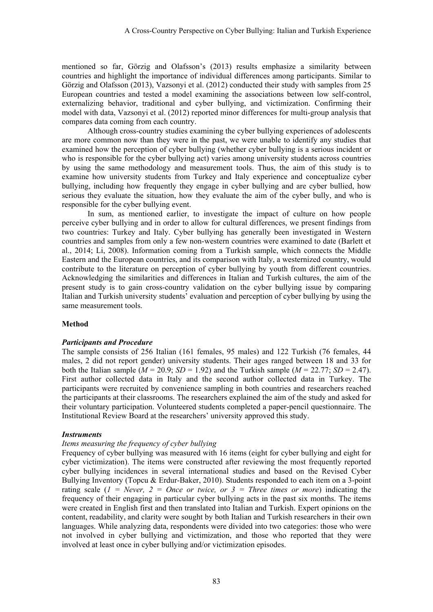mentioned so far, Görzig and Olafsson's (2013) results emphasize a similarity between countries and highlight the importance of individual differences among participants. Similar to Görzig and Olafsson (2013), Vazsonyi et al. (2012) conducted their study with samples from 25 European countries and tested a model examining the associations between low self-control, externalizing behavior, traditional and cyber bullying, and victimization. Confirming their model with data, Vazsonyi et al. (2012) reported minor differences for multi-group analysis that compares data coming from each country.

Although cross-country studies examining the cyber bullying experiences of adolescents are more common now than they were in the past, we were unable to identify any studies that examined how the perception of cyber bullying (whether cyber bullying is a serious incident or who is responsible for the cyber bullying act) varies among university students across countries by using the same methodology and measurement tools. Thus, the aim of this study is to examine how university students from Turkey and Italy experience and conceptualize cyber bullying, including how frequently they engage in cyber bullying and are cyber bullied, how serious they evaluate the situation, how they evaluate the aim of the cyber bully, and who is responsible for the cyber bullying event.

In sum, as mentioned earlier, to investigate the impact of culture on how people perceive cyber bullying and in order to allow for cultural differences, we present findings from two countries: Turkey and Italy. Cyber bullying has generally been investigated in Western countries and samples from only a few non-western countries were examined to date (Barlett et al., 2014; Li, 2008). Information coming from a Turkish sample, which connects the Middle Eastern and the European countries, and its comparison with Italy, a westernized country, would contribute to the literature on perception of cyber bullying by youth from different countries. Acknowledging the similarities and differences in Italian and Turkish cultures, the aim of the present study is to gain cross-country validation on the cyber bullying issue by comparing Italian and Turkish university students' evaluation and perception of cyber bullying by using the same measurement tools.

### **Method**

### *Participants and Procedure*

The sample consists of 256 Italian (161 females, 95 males) and 122 Turkish (76 females, 44 males, 2 did not report gender) university students. Their ages ranged between 18 and 33 for both the Italian sample  $(M = 20.9; SD = 1.92)$  and the Turkish sample  $(M = 22.77; SD = 2.47)$ . First author collected data in Italy and the second author collected data in Turkey. The participants were recruited by convenience sampling in both countries and researchers reached the participants at their classrooms. The researchers explained the aim of the study and asked for their voluntary participation. Volunteered students completed a paper-pencil questionnaire. The Institutional Review Board at the researchers' university approved this study.

### *Instruments*

### *Items measuring the frequency of cyber bullying*

Frequency of cyber bullying was measured with 16 items (eight for cyber bullying and eight for cyber victimization). The items were constructed after reviewing the most frequently reported cyber bullying incidences in several international studies and based on the Revised Cyber Bullying Inventory (Topcu & Erdur-Baker, 2010). Students responded to each item on a 3-point rating scale  $(I = Never, 2 = Once or twice, or 3 = Three times or more) indicating the$ frequency of their engaging in particular cyber bullying acts in the past six months. The items were created in English first and then translated into Italian and Turkish. Expert opinions on the content, readability, and clarity were sought by both Italian and Turkish researchers in their own languages. While analyzing data, respondents were divided into two categories: those who were not involved in cyber bullying and victimization, and those who reported that they were involved at least once in cyber bullying and/or victimization episodes.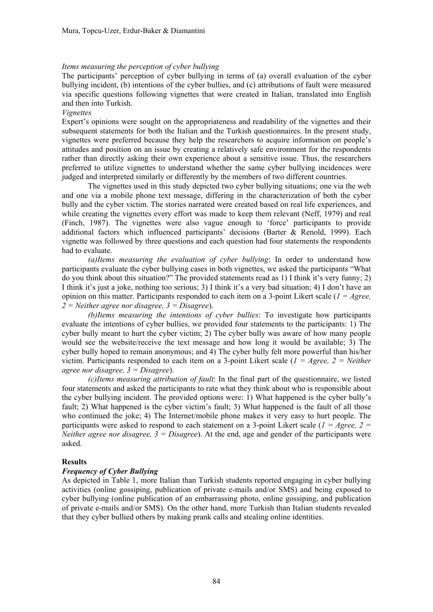#### *Items measuring the perception of cyber bullying*

The participants' perception of cyber bullying in terms of (a) overall evaluation of the cyber bullying incident, (b) intentions of the cyber bullies, and (c) attributions of fault were measured via specific questions following vignettes that were created in Italian, translated into English and then into Turkish.

#### *Vignettes*

Expert's opinions were sought on the appropriateness and readability of the vignettes and their subsequent statements for both the Italian and the Turkish questionnaires. In the present study, vignettes were preferred because they help the researchers to acquire information on people's attitudes and position on an issue by creating a relatively safe environment for the respondents rather than directly asking their own experience about a sensitive issue. Thus, the researchers preferred to utilize vignettes to understand whether the same cyber bullying incidences were judged and interpreted similarly or differently by the members of two different countries.

The vignettes used in this study depicted two cyber bullying situations; one via the web and one via a mobile phone text message, differing in the characterization of both the cyber bully and the cyber victim. The stories narrated were created based on real life experiences, and while creating the vignettes every effort was made to keep them relevant (Neff, 1979) and real (Finch, 1987). The vignettes were also vague enough to 'force' participants to provide additional factors which influenced participants' decisions (Barter & Renold, 1999). Each vignette was followed by three questions and each question had four statements the respondents had to evaluate.

*(a)Items measuring the evaluation of cyber bullying*: In order to understand how participants evaluate the cyber bullying cases in both vignettes, we asked the participants "What do you think about this situation?" The provided statements read as 1) I think it's very funny; 2) I think it's just a joke, nothing too serious; 3) I think it's a very bad situation; 4) I don't have an opinion on this matter. Participants responded to each item on a 3-point Likert scale (*1 = Agree, 2 = Neither agree nor disagree, 3 = Disagree*).

*(b)Items measuring the intentions of cyber bullies*: To investigate how participants evaluate the intentions of cyber bullies, we provided four statements to the participants: 1) The cyber bully meant to hurt the cyber victim; 2) The cyber bully was aware of how many people would see the website/receive the text message and how long it would be available; 3) The cyber bully hoped to remain anonymous; and 4) The cyber bully felt more powerful than his/her victim. Participants responded to each item on a 3-point Likert scale (*1 = Agree, 2 = Neither agree nor disagree, 3 = Disagree*).

*(c)Items measuring attribution of fault*: In the final part of the questionnaire, we listed four statements and asked the participants to rate what they think about who is responsible about the cyber bullying incident. The provided options were: 1) What happened is the cyber bully's fault; 2) What happened is the cyber victim's fault; 3) What happened is the fault of all those who continued the joke; 4) The Internet/mobile phone makes it very easy to hurt people. The participants were asked to respond to each statement on a 3-point Likert scale (*1 = Agree, 2 = Neither agree nor disagree, 3 = Disagree*). At the end, age and gender of the participants were asked.

### **Results**

#### *Frequency of Cyber Bullying*

As depicted in Table 1, more Italian than Turkish students reported engaging in cyber bullying activities (online gossiping, publication of private e-mails and/or SMS) and being exposed to cyber bullying (online publication of an embarrassing photo, online gossiping, and publication of private e-mails and/or SMS). On the other hand, more Turkish than Italian students revealed that they cyber bullied others by making prank calls and stealing online identities.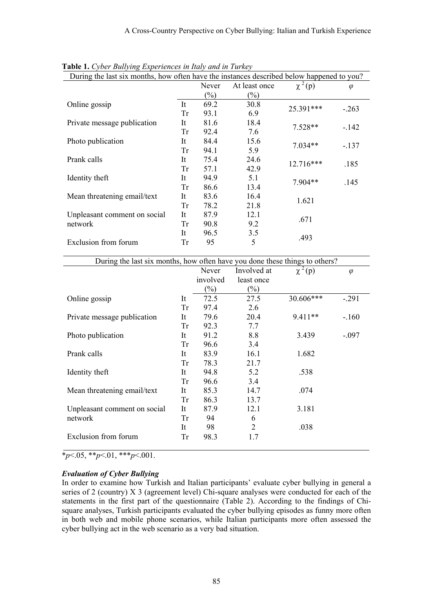| <b>radic 1.</b> Cyber <i>Duirying Experiences in hary and in Turney</i>                   |           |                            |               |             |           |  |  |  |  |
|-------------------------------------------------------------------------------------------|-----------|----------------------------|---------------|-------------|-----------|--|--|--|--|
| During the last six months, how often have the instances described below happened to you? |           |                            |               |             |           |  |  |  |  |
|                                                                                           |           | Never                      | At least once | $\chi^2(p)$ | $\varphi$ |  |  |  |  |
|                                                                                           |           | $\left(\frac{0}{0}\right)$ | $(\%)$        |             |           |  |  |  |  |
| Online gossip                                                                             | It        | 69.2                       | 30.8          | 25.391***   |           |  |  |  |  |
|                                                                                           | Tr        | 93.1                       | 6.9           |             | $-.263$   |  |  |  |  |
| Private message publication                                                               | It        | 81.6                       | 18.4          | $7.528**$   |           |  |  |  |  |
|                                                                                           | Tr        | 92.4                       | 7.6           |             | $-142$    |  |  |  |  |
| Photo publication                                                                         | It        | 84.4                       | 15.6          | $7.034**$   |           |  |  |  |  |
|                                                                                           | Tr        | 94.1                       | 5.9           |             | $-.137$   |  |  |  |  |
| Prank calls                                                                               | It        | 75.4                       | 24.6          | 12.716***   | .185      |  |  |  |  |
|                                                                                           | <b>Tr</b> | 57.1                       | 42.9          |             |           |  |  |  |  |
| Identity theft                                                                            | It        | 94.9                       | 5.1           | 7.904**     |           |  |  |  |  |
|                                                                                           | Tr        | 86.6                       | 13.4          |             | .145      |  |  |  |  |
| Mean threatening email/text                                                               | It        | 83.6                       | 16.4          |             |           |  |  |  |  |
|                                                                                           | Tr        | 78.2                       | 21.8          | 1.621       |           |  |  |  |  |
| Unpleasant comment on social                                                              | It        | 87.9                       | 12.1          |             |           |  |  |  |  |
| network                                                                                   | Tr        | 90.8                       | 9.2           | .671        |           |  |  |  |  |
|                                                                                           | It        | 96.5                       | 3.5           |             |           |  |  |  |  |
| Exclusion from forum                                                                      | Tr        | 95                         | 5             | .493        |           |  |  |  |  |

**Table 1.** *Cyber Bullying Experiences in Italy and in Turkey*

| During the last six months, how often have you done these things to others? |    |          |             |             |           |  |  |  |  |
|-----------------------------------------------------------------------------|----|----------|-------------|-------------|-----------|--|--|--|--|
|                                                                             |    | Never    | Involved at | $\chi^2(p)$ | $\varphi$ |  |  |  |  |
|                                                                             |    | involved | least once  |             |           |  |  |  |  |
|                                                                             |    | $(\%)$   | $(\%)$      |             |           |  |  |  |  |
| Online gossip                                                               | It | 72.5     | 27.5        | 30.606***   | $-.291$   |  |  |  |  |
|                                                                             | Tr | 97.4     | 2.6         |             |           |  |  |  |  |
| Private message publication                                                 | It | 79.6     | 20.4        | $9.411**$   | $-160$    |  |  |  |  |
|                                                                             | Tr | 92.3     | 7.7         |             |           |  |  |  |  |
| Photo publication                                                           | It | 91.2     | 8.8         | 3.439       | $-.097$   |  |  |  |  |
|                                                                             | Tr | 96.6     | 3.4         |             |           |  |  |  |  |
| Prank calls                                                                 | It | 83.9     | 16.1        | 1.682       |           |  |  |  |  |
|                                                                             | Tr | 78.3     | 21.7        |             |           |  |  |  |  |
| Identity theft                                                              | It | 94.8     | 5.2         | .538        |           |  |  |  |  |
|                                                                             | Tr | 96.6     | 3.4         |             |           |  |  |  |  |
| Mean threatening email/text                                                 | It | 85.3     | 14.7        | .074        |           |  |  |  |  |
|                                                                             | Tr | 86.3     | 13.7        |             |           |  |  |  |  |
| Unpleasant comment on social                                                | It | 87.9     | 12.1        | 3.181       |           |  |  |  |  |
| network                                                                     | Tr | 94       | 6           |             |           |  |  |  |  |
|                                                                             | It | 98       | 2           | .038        |           |  |  |  |  |
| Exclusion from forum                                                        | Tr | 98.3     | 1.7         |             |           |  |  |  |  |

\**p*<.05, \*\**p*<.01, \*\*\**p*<.001.

### *Evaluation of Cyber Bullying*

In order to examine how Turkish and Italian participants' evaluate cyber bullying in general a series of 2 (country) X 3 (agreement level) Chi-square analyses were conducted for each of the statements in the first part of the questionnaire (Table 2). According to the findings of Chisquare analyses, Turkish participants evaluated the cyber bullying episodes as funny more often in both web and mobile phone scenarios, while Italian participants more often assessed the cyber bullying act in the web scenario as a very bad situation.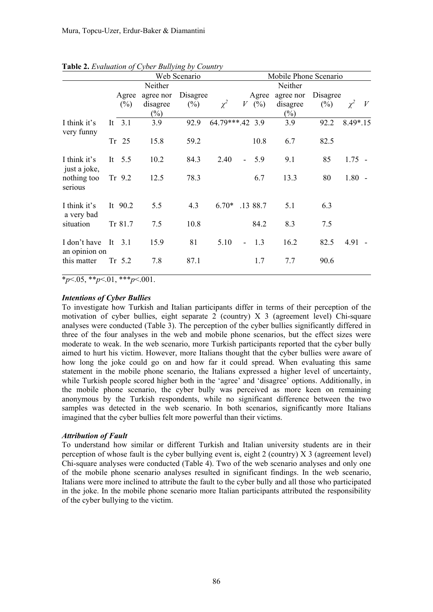|                               |    |                 |                                 | Web Scenario       |                 |                | Mobile Phone Scenario |                                 |                    |            |   |  |  |  |
|-------------------------------|----|-----------------|---------------------------------|--------------------|-----------------|----------------|-----------------------|---------------------------------|--------------------|------------|---|--|--|--|
|                               |    |                 | Neither                         |                    |                 |                |                       | Neither                         |                    |            |   |  |  |  |
|                               |    | Agree<br>$(\%)$ | agree nor<br>disagree<br>$(\%)$ | Disagree<br>$(\%)$ | $\chi^2$        | V              | Agree<br>$(\%)$       | agree nor<br>disagree<br>$(\%)$ | Disagree<br>$(\%)$ | $\chi^2$   | V |  |  |  |
| I think it's<br>very funny    |    | It $3.1$        | 3.9                             | 92.9               | 64.79***.42 3.9 |                |                       | 3.9                             | 92.2               | $8.49*.15$ |   |  |  |  |
|                               |    | Tr 25           | 15.8                            | 59.2               |                 |                | 10.8                  | 6.7                             | 82.5               |            |   |  |  |  |
| I think it's<br>just a joke,  |    | It $5.5$        | 10.2                            | 84.3               | 2.40            |                | 5.9                   | 9.1                             | 85                 | $1.75 -$   |   |  |  |  |
| nothing too<br>serious        |    | Tr $9.2$        | 12.5                            | 78.3               |                 |                | 6.7                   | 13.3                            | 80                 | $1.80 -$   |   |  |  |  |
| I think it's<br>a very bad    |    | It $90.2$       | 5.5                             | 4.3                | $6.70*$         |                | .13 88.7              | 5.1                             | 6.3                |            |   |  |  |  |
| situation                     |    | Tr 81.7         | 7.5                             | 10.8               |                 |                | 84.2                  | 8.3                             | 7.5                |            |   |  |  |  |
| I don't have<br>an opinion on | It | 3.1             | 15.9                            | 81                 | 5.10            | $\blacksquare$ | 1.3                   | 16.2                            | 82.5               | 4.91       |   |  |  |  |
| this matter                   |    | Tr 5.2          | 7.8                             | 87.1               |                 |                | 1.7                   | 7.7                             | 90.6               |            |   |  |  |  |

**Table 2.** *Evaluation of Cyber Bullying by Country* 

 $*_{p<.05}$ ,  $*_{p<.01}$ ,  $*_{p<.001}$ .

## *Intentions of Cyber Bullies*

To investigate how Turkish and Italian participants differ in terms of their perception of the motivation of cyber bullies, eight separate 2 (country)  $X_3$  (agreement level) Chi-square analyses were conducted (Table 3). The perception of the cyber bullies significantly differed in three of the four analyses in the web and mobile phone scenarios, but the effect sizes were moderate to weak. In the web scenario, more Turkish participants reported that the cyber bully aimed to hurt his victim. However, more Italians thought that the cyber bullies were aware of how long the joke could go on and how far it could spread. When evaluating this same statement in the mobile phone scenario, the Italians expressed a higher level of uncertainty, while Turkish people scored higher both in the 'agree' and 'disagree' options. Additionally, in the mobile phone scenario, the cyber bully was perceived as more keen on remaining anonymous by the Turkish respondents, while no significant difference between the two samples was detected in the web scenario. In both scenarios, significantly more Italians imagined that the cyber bullies felt more powerful than their victims.

### *Attribution of Fault*

To understand how similar or different Turkish and Italian university students are in their perception of whose fault is the cyber bullying event is, eight 2 (country) X 3 (agreement level) Chi-square analyses were conducted (Table 4). Two of the web scenario analyses and only one of the mobile phone scenario analyses resulted in significant findings. In the web scenario, Italians were more inclined to attribute the fault to the cyber bully and all those who participated in the joke. In the mobile phone scenario more Italian participants attributed the responsibility of the cyber bullying to the victim.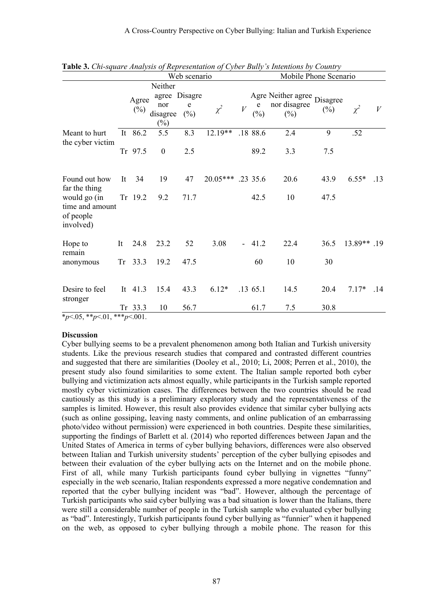|                                                           |    | Web scenario    |                                                       |                  |            |   | Mobile Phone Scenario |                                              |                    |             |     |  |  |  |
|-----------------------------------------------------------|----|-----------------|-------------------------------------------------------|------------------|------------|---|-----------------------|----------------------------------------------|--------------------|-------------|-----|--|--|--|
|                                                           |    | Agree<br>$(\%)$ | Neither<br>agree Disagre<br>nor<br>disagree<br>$(\%)$ | ${\bf e}$<br>(%) | $\chi^2$   | V | e<br>$(\%)$           | Agre Neither agree<br>nor disagree<br>$(\%)$ | Disagree<br>$(\%)$ | $\chi^2$    | V   |  |  |  |
| Meant to hurt<br>the cyber victim                         |    | It 86.2         | 5.5                                                   | 8.3              | 12.19**    |   | .18 88.6              | 2.4                                          | 9                  | .52         |     |  |  |  |
|                                                           |    | Tr 97.5         | $\boldsymbol{0}$                                      | 2.5              |            |   | 89.2                  | 3.3                                          | 7.5                |             |     |  |  |  |
| Found out how<br>far the thing                            | It | 34              | 19                                                    | 47               | $20.05***$ |   | .23 35.6              | 20.6                                         | 43.9               | $6.55*$     | .13 |  |  |  |
| would go (in<br>time and amount<br>of people<br>involved) |    | Tr 19.2         | 9.2                                                   | 71.7             |            |   | 42.5                  | 10                                           | 47.5               |             |     |  |  |  |
| Hope to<br>remain                                         | It | 24.8            | 23.2                                                  | 52               | 3.08       |   | 41.2                  | 22.4                                         | 36.5               | 13.89** .19 |     |  |  |  |
| anonymous                                                 | Tr | 33.3            | 19.2                                                  | 47.5             |            |   | 60                    | 10                                           | 30                 |             |     |  |  |  |
| Desire to feel<br>stronger                                |    | It 41.3         | 15.4                                                  | 43.3             | $6.12*$    |   | .13 65.1              | 14.5                                         | 20.4               | $7.17*$     | .14 |  |  |  |
|                                                           |    | Tr 33.3         | 10                                                    | 56.7             |            |   | 61.7                  | 7.5                                          | 30.8               |             |     |  |  |  |

**Table 3.** *Chi-square Analysis of Representation of Cyber Bully's Intentions by Country* 

\**p*<.05, \*\**p*<.01, \*\*\**p*<.001.

#### **Discussion**

Cyber bullying seems to be a prevalent phenomenon among both Italian and Turkish university students. Like the previous research studies that compared and contrasted different countries and suggested that there are similarities (Dooley et al., 2010; Li, 2008; Perren et al., 2010), the present study also found similarities to some extent. The Italian sample reported both cyber bullying and victimization acts almost equally, while participants in the Turkish sample reported mostly cyber victimization cases. The differences between the two countries should be read cautiously as this study is a preliminary exploratory study and the representativeness of the samples is limited. However, this result also provides evidence that similar cyber bullying acts (such as online gossiping, leaving nasty comments, and online publication of an embarrassing photo/video without permission) were experienced in both countries. Despite these similarities, supporting the findings of Barlett et al. (2014) who reported differences between Japan and the United States of America in terms of cyber bullying behaviors, differences were also observed between Italian and Turkish university students' perception of the cyber bullying episodes and between their evaluation of the cyber bullying acts on the Internet and on the mobile phone. First of all, while many Turkish participants found cyber bullying in vignettes "funny" especially in the web scenario, Italian respondents expressed a more negative condemnation and reported that the cyber bullying incident was "bad". However, although the percentage of Turkish participants who said cyber bullying was a bad situation is lower than the Italians, there were still a considerable number of people in the Turkish sample who evaluated cyber bullying as "bad". Interestingly, Turkish participants found cyber bullying as "funnier" when it happened on the web, as opposed to cyber bullying through a mobile phone. The reason for this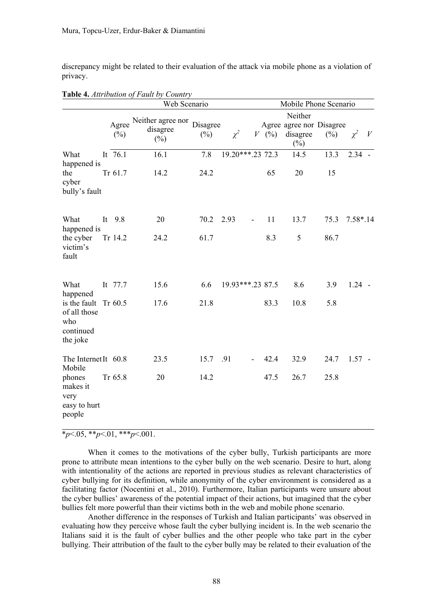discrepancy might be related to their evaluation of the attack via mobile phone as a violation of privacy.

|                                                              |    |                 | Web Scenario                                  | Mobile Phone Scenario |                  |                          |       |                                                |        |            |   |
|--------------------------------------------------------------|----|-----------------|-----------------------------------------------|-----------------------|------------------|--------------------------|-------|------------------------------------------------|--------|------------|---|
|                                                              |    |                 |                                               |                       | Neither          |                          |       |                                                |        |            |   |
|                                                              |    | Agree<br>$(\%)$ | Neither agree nor Disagree<br>disagree<br>(%) | $(\%)$                | $\chi^2$         |                          | V (%) | Agree agree nor Disagree<br>disagree<br>$(\%)$ | $(\%)$ | $\chi^2$   | V |
| What<br>happened is                                          |    | It 76.1         | 16.1                                          | 7.8                   | 19.20***.23 72.3 |                          |       | 14.5                                           | 13.3   | $2.34 -$   |   |
| the<br>cyber<br>bully's fault                                |    | Tr 61.7         | 14.2                                          | 24.2                  |                  |                          | 65    | 20                                             | 15     |            |   |
| What<br>happened is                                          | It | 9.8             | 20                                            | 70.2                  | 2.93             | $\overline{\phantom{a}}$ | 11    | 13.7                                           | 75.3   | $7.58*.14$ |   |
| the cyber<br>victim's<br>fault                               |    | Tr 14.2         | 24.2                                          | 61.7                  |                  |                          | 8.3   | 5                                              | 86.7   |            |   |
| What<br>happened                                             |    | It 77.7         | 15.6                                          | 6.6                   | 19.93***.23 87.5 |                          |       | 8.6                                            | 3.9    | $1.24 -$   |   |
| is the fault<br>of all those<br>who<br>continued<br>the joke |    | Tr $60.5$       | 17.6                                          | 21.8                  |                  |                          | 83.3  | 10.8                                           | 5.8    |            |   |
| The Internet It 60.8<br>Mobile                               |    |                 | 23.5                                          | 15.7                  | .91              |                          | 42.4  | 32.9                                           | 24.7   | $1.57 -$   |   |
| phones<br>makes it<br>very<br>easy to hurt<br>people         |    | Tr 65.8         | 20                                            | 14.2                  |                  |                          | 47.5  | 26.7                                           | 25.8   |            |   |

**Table 4.** *Attribution of Fault by Country* 

 $\overline{\ast_{p}$ <.05,  $\overline{\ast_{p}}$  <.01,  $\overline{\ast_{p}}$  <.001.

When it comes to the motivations of the cyber bully, Turkish participants are more prone to attribute mean intentions to the cyber bully on the web scenario. Desire to hurt, along with intentionality of the actions are reported in previous studies as relevant characteristics of cyber bullying for its definition, while anonymity of the cyber environment is considered as a facilitating factor (Nocentini et al., 2010). Furthermore, Italian participants were unsure about the cyber bullies' awareness of the potential impact of their actions, but imagined that the cyber bullies felt more powerful than their victims both in the web and mobile phone scenario.

Another difference in the responses of Turkish and Italian participants' was observed in evaluating how they perceive whose fault the cyber bullying incident is. In the web scenario the Italians said it is the fault of cyber bullies and the other people who take part in the cyber bullying. Their attribution of the fault to the cyber bully may be related to their evaluation of the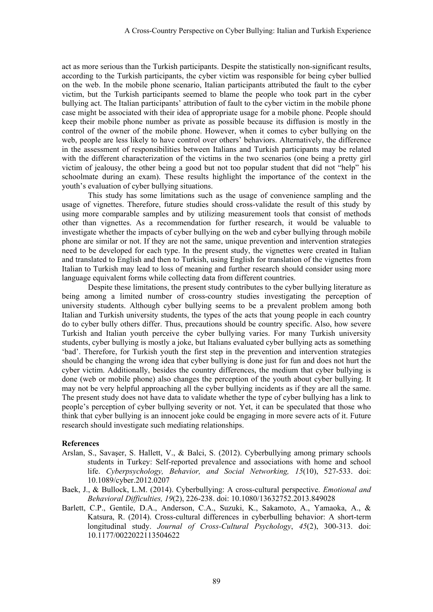act as more serious than the Turkish participants. Despite the statistically non-significant results, according to the Turkish participants, the cyber victim was responsible for being cyber bullied on the web. In the mobile phone scenario, Italian participants attributed the fault to the cyber victim, but the Turkish participants seemed to blame the people who took part in the cyber bullying act. The Italian participants' attribution of fault to the cyber victim in the mobile phone case might be associated with their idea of appropriate usage for a mobile phone. People should keep their mobile phone number as private as possible because its diffusion is mostly in the control of the owner of the mobile phone. However, when it comes to cyber bullying on the web, people are less likely to have control over others' behaviors. Alternatively, the difference in the assessment of responsibilities between Italians and Turkish participants may be related with the different characterization of the victims in the two scenarios (one being a pretty girl victim of jealousy, the other being a good but not too popular student that did not "help" his schoolmate during an exam). These results highlight the importance of the context in the youth's evaluation of cyber bullying situations.

This study has some limitations such as the usage of convenience sampling and the usage of vignettes. Therefore, future studies should cross-validate the result of this study by using more comparable samples and by utilizing measurement tools that consist of methods other than vignettes. As a recommendation for further research, it would be valuable to investigate whether the impacts of cyber bullying on the web and cyber bullying through mobile phone are similar or not. If they are not the same, unique prevention and intervention strategies need to be developed for each type. In the present study, the vignettes were created in Italian and translated to English and then to Turkish, using English for translation of the vignettes from Italian to Turkish may lead to loss of meaning and further research should consider using more language equivalent forms while collecting data from different countries.

Despite these limitations, the present study contributes to the cyber bullying literature as being among a limited number of cross-country studies investigating the perception of university students. Although cyber bullying seems to be a prevalent problem among both Italian and Turkish university students, the types of the acts that young people in each country do to cyber bully others differ. Thus, precautions should be country specific. Also, how severe Turkish and Italian youth perceive the cyber bullying varies. For many Turkish university students, cyber bullying is mostly a joke, but Italians evaluated cyber bullying acts as something 'bad'. Therefore, for Turkish youth the first step in the prevention and intervention strategies should be changing the wrong idea that cyber bullying is done just for fun and does not hurt the cyber victim. Additionally, besides the country differences, the medium that cyber bullying is done (web or mobile phone) also changes the perception of the youth about cyber bullying. It may not be very helpful approaching all the cyber bullying incidents as if they are all the same. The present study does not have data to validate whether the type of cyber bullying has a link to people's perception of cyber bullying severity or not. Yet, it can be speculated that those who think that cyber bullying is an innocent joke could be engaging in more severe acts of it. Future research should investigate such mediating relationships.

### **References**

- Arslan, S., Savaşer, S. Hallett, V., & Balci, S. (2012). Cyberbullying among primary schools students in Turkey: Self-reported prevalence and associations with home and school life. *Cyberpsychology, Behavior, and Social Networking, 15*(10), 527-533. doi: 10.1089/cyber.2012.0207
- Baek, J., & Bullock, L.M. (2014). Cyberbullying: A cross-cultural perspective. *Emotional and Behavioral Difficulties, 19*(2), 226-238. doi: 10.1080/13632752.2013.849028
- Barlett, C.P., Gentile, D.A., Anderson, C.A., Suzuki, K., Sakamoto, A., Yamaoka, A., & Katsura, R. (2014). Cross-cultural differences in cyberbulling behavior: A short-term longitudinal study. *Journal of Cross-Cultural Psychology*, *45*(2), 300-313. doi: 10.1177/0022022113504622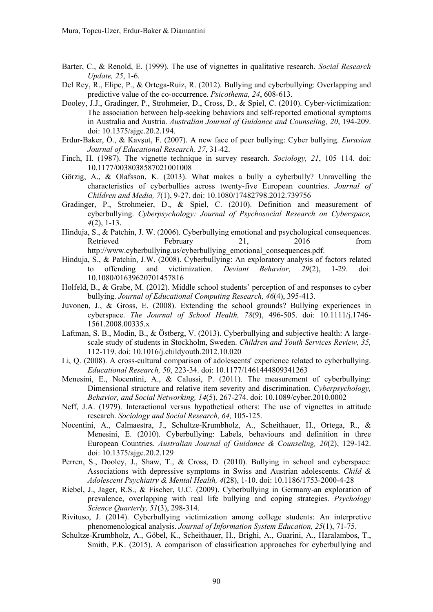- Barter, C., & Renold, E. (1999). The use of vignettes in qualitative research. *Social Research Update, 25*, 1-6.
- Del Rey, R., Elipe, P., & Ortega-Ruiz, R. (2012). Bullying and cyberbullying: Overlapping and predictive value of the co-occurrence. *Psicothema, 24*, 608-613.
- Dooley, J.J., Gradinger, P., Strohmeier, D., Cross, D., & Spiel, C. (2010). Cyber-victimization: The association between help-seeking behaviors and self-reported emotional symptoms in Australia and Austria. *Australian Journal of Guidance and Counseling, 20*, 194-209. doi: 10.1375/ajgc.20.2.194.
- Erdur-Baker, Ö., & Kavşut, F. (2007). A new face of peer bullying: Cyber bullying. *Eurasian Journal of Educational Research, 27*, 31-42.
- Finch, H. (1987). The vignette technique in survey research. *Sociology, 21*, 105–114. doi: 10.1177/0038038587021001008
- Görzig, A., & Olafsson, K. (2013). What makes a bully a cyberbully? Unravelling the characteristics of cyberbullies across twenty-five European countries. *Journal of Children and Media, 7*(1), 9-27. doi: 10.1080/17482798.2012.739756
- Gradinger, P., Strohmeier, D., & Spiel, C. (2010). Definition and measurement of cyberbullying. *Cyberpsychology: Journal of Psychosocial Research on Cyberspace, 4*(2), 1-13.
- Hinduja, S., & Patchin, J. W. (2006). Cyberbullying emotional and psychological consequences. Retrieved February 21, 2016 from http://www.cyberbullying.us/cyberbullying\_emotional\_consequences.pdf.
- Hinduja, S., & Patchin, J.W. (2008). Cyberbullying: An exploratory analysis of factors related to offending and victimization. *Deviant Behavior, 29*(2), 1-29. doi: 10.1080/01639620701457816
- Holfeld, B., & Grabe, M. (2012). Middle school students' perception of and responses to cyber bullying. *Journal of Educational Computing Research, 46*(4), 395-413.
- Juvonen, J., & Gross, E. (2008). Extending the school grounds? Bullying experiences in cyberspace. *The Journal of School Health, 78*(9), 496-505. doi: 10.1111/j.1746- 1561.2008.00335.x
- Laftman, S. B., Modin, B., & Östberg, V. (2013). Cyberbullying and subjective health: A largescale study of students in Stockholm, Sweden. *Children and Youth Services Review, 35,*  112-119. doi: 10.1016/j.childyouth.2012.10.020
- Li, Q. (2008). A cross-cultural comparison of adolescents' experience related to cyberbullying. *Educational Research, 50*, 223-34. doi: 10.1177/1461444809341263
- Menesini, E., Nocentini, A., & Calussi, P. (2011). The measurement of cyberbullying: Dimensional structure and relative item severity and discrimination. *Cyberpsychology, Behavior, and Social Networking, 14*(5), 267-274. doi: 10.1089/cyber.2010.0002
- Neff, J.A. (1979). Interactional versus hypothetical others: The use of vignettes in attitude research. *Sociology and Social Research, 64,* 105-125.
- Nocentini, A., Calmaestra, J., Schultze-Krumbholz, A., Scheithauer, H., Ortega, R., & Menesini, E. (2010). Cyberbullying: Labels, behaviours and definition in three European Countries. *Australian Journal of Guidance & Counseling, 20*(2), 129-142. doi: 10.1375/ajgc.20.2.129
- Perren, S., Dooley, J., Shaw, T., & Cross, D. (2010). Bullying in school and cyberspace: Associations with depressive symptoms in Swiss and Austrian adolescents. *Child & Adolescent Psychiatry & Mental Health, 4*(28), 1-10. doi: 10.1186/1753-2000-4-28
- Riebel, J., Jager, R.S., & Fischer, U.C. (2009). Cyberbullying in Germany-an exploration of prevalence, overlapping with real life bullying and coping strategies. *Psychology Science Quarterly, 51*(3), 298-314.
- Rivituso, J. (2014). Cyberbullying victimization among college students: An interpretive phenomenological analysis. *Journal of Information System Education, 25*(1), 71-75.
- Schultze-Krumbholz, A., Göbel, K., Scheithauer, H., Brighi, A., Guarini, A., Haralambos, T., Smith, P.K. (2015). A comparison of classification approaches for cyberbullying and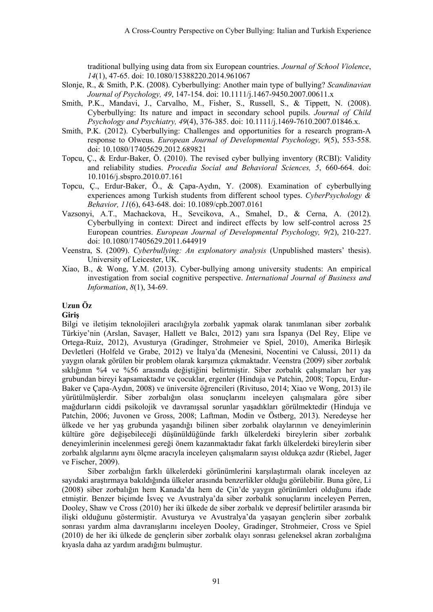traditional bullying using data from six European countries. *Journal of School Violence*, *14*(1), 47-65. doi: 10.1080/15388220.2014.961067

- Slonje, R., & Smith, P.K. (2008). Cyberbullying: Another main type of bullying? *Scandinavian Journal of Psychology, 49*, 147-154. doi: 10.1111/j.1467-9450.2007.00611.x
- Smith, P.K., Mandavi, J., Carvalho, M., Fisher, S., Russell, S., & Tippett, N. (2008). Cyberbullying: Its nature and impact in secondary school pupils. *Journal of Child Psychology and Psychiatry, 49*(4), 376-385. doi: 10.1111/j.1469-7610.2007.01846.x.
- Smith, P.K. (2012). Cyberbullying: Challenges and opportunities for a research program-A response to Olweus. *European Journal of Developmental Psychology, 9*(5), 553-558. doi: 10.1080/17405629.2012.689821
- Topcu, Ç., & Erdur-Baker, Ö. (2010). The revised cyber bullying inventory (RCBI): Validity and reliability studies. *Procedia Social and Behavioral Sciences, 5*, 660-664. doi: 10.1016/j.sbspro.2010.07.161
- Topcu, Ç., Erdur-Baker, Ö., & Çapa-Aydın, Y. (2008). Examination of cyberbullying experiences among Turkish students from different school types. *CyberPsychology & Behavior, 11*(6), 643-648. doi: 10.1089/cpb.2007.0161
- Vazsonyi, A.T., Machackova, H., Sevcikova, A., Smahel, D., & Cerna, A. (2012). Cyberbullying in context: Direct and indirect effects by low self-control across 25 European countries. *European Journal of Developmental Psychology, 9(*2), 210-227. doi: 10.1080/17405629.2011.644919
- Veenstra, S. (2009). *Cyberbullying: An explonatory analysis* (Unpublished masters' thesis). University of Leicester, UK.
- Xiao, B., & Wong, Y.M. (2013). Cyber-bullying among university students: An empirical investigation from social cognitive perspective. *International Journal of Business and Information*, *8*(1), 34-69.

## **Uzun Öz**

### **Giriş**

Bilgi ve iletişim teknolojileri aracılığıyla zorbalık yapmak olarak tanımlanan siber zorbalık Türkiye'nin (Arslan, Savaşer, Hallett ve Balcı, 2012) yanı sıra İspanya (Del Rey, Elipe ve Ortega-Ruiz, 2012), Avusturya (Gradinger, Strohmeier ve Spiel, 2010), Amerika Birleşik Devletleri (Holfeld ve Grabe, 2012) ve İtalya'da (Menesini, Nocentini ve Calussi, 2011) da yaygın olarak görülen bir problem olarak karşımıza çıkmaktadır. Veenstra (2009) siber zorbalık sıklığının %4 ve %56 arasında değiştiğini belirtmiştir. Siber zorbalık çalışmaları her yaş grubundan bireyi kapsamaktadır ve çocuklar, ergenler (Hinduja ve Patchin, 2008; Topcu, Erdur-Baker ve Çapa-Aydın, 2008) ve üniversite öğrencileri (Rivituso, 2014; Xiao ve Wong, 2013) ile yürütülmüşlerdir. Siber zorbalığın olası sonuçlarını inceleyen çalışmalara göre siber mağdurların ciddi psikolojik ve davranışsal sorunlar yaşadıkları görülmektedir (Hinduja ve Patchin, 2006; Juvonen ve Gross, 2008; Laftman, Modin ve Östberg, 2013). Neredeyse her ülkede ve her yaş grubunda yaşandığı bilinen siber zorbalık olaylarının ve deneyimlerinin kültüre göre değişebileceği düşünüldüğünde farklı ülkelerdeki bireylerin siber zorbalık deneyimlerinin incelenmesi gereği önem kazanmaktadır fakat farklı ülkelerdeki bireylerin siber zorbalık algılarını aynı ölçme aracıyla inceleyen çalışmaların sayısı oldukça azdır (Riebel, Jager ve Fischer, 2009).

Siber zorbalığın farklı ülkelerdeki görünümlerini karşılaştırmalı olarak inceleyen az sayıdaki araştırmaya bakıldığında ülkeler arasında benzerlikler olduğu görülebilir. Buna göre, Li (2008) siber zorbalığın hem Kanada'da hem de Çin'de yaygın görünümleri olduğunu ifade etmiştir. Benzer biçimde İsveç ve Avustralya'da siber zorbalık sonuçlarını inceleyen Perren, Dooley, Shaw ve Cross (2010) her iki ülkede de siber zorbalık ve depresif belirtiler arasında bir ilişki olduğunu göstermiştir. Avusturya ve Avustralya'da yaşayan gençlerin siber zorbalık sonrası yardım alma davranışlarını inceleyen Dooley, Gradinger, Strohmeier, Cross ve Spiel (2010) de her iki ülkede de gençlerin siber zorbalık olayı sonrası geleneksel akran zorbalığına kıyasla daha az yardım aradığını bulmuştur.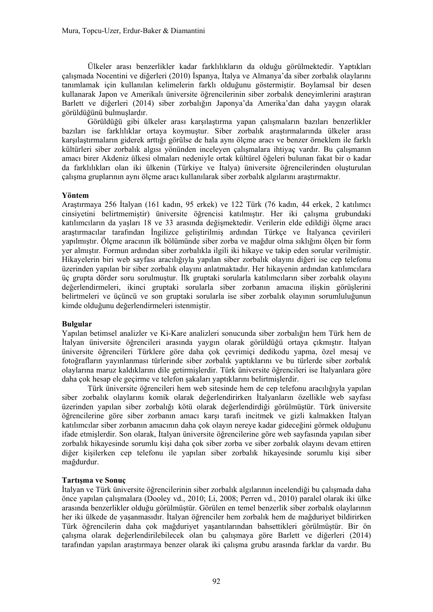Ülkeler arası benzerlikler kadar farklılıkların da olduğu görülmektedir. Yaptıkları çalışmada Nocentini ve diğerleri (2010) İspanya, İtalya ve Almanya'da siber zorbalık olaylarını tanımlamak için kullanılan kelimelerin farklı olduğunu göstermiştir. Boylamsal bir desen kullanarak Japon ve Amerikalı üniversite öğrencilerinin siber zorbalık deneyimlerini araştıran Barlett ve diğerleri (2014) siber zorbalığın Japonya'da Amerika'dan daha yaygın olarak görüldüğünü bulmuşlardır.

Görüldüğü gibi ülkeler arası karşılaştırma yapan çalışmaların bazıları benzerlikler bazıları ise farklılıklar ortaya koymuştur. Siber zorbalık araştırmalarında ülkeler arası karşılaştırmaların giderek arttığı görülse de hala aynı ölçme aracı ve benzer örneklem ile farklı kültürleri siber zorbalık algısı yönünden inceleyen çalışmalara ihtiyaç vardır. Bu çalışmanın amacı birer Akdeniz ülkesi olmaları nedeniyle ortak kültürel öğeleri bulunan fakat bir o kadar da farklılıkları olan iki ülkenin (Türkiye ve İtalya) üniversite öğrencilerinden oluşturulan çalışma gruplarının aynı ölçme aracı kullanılarak siber zorbalık algılarını araştırmaktır.

### **Yöntem**

Araştırmaya 256 İtalyan (161 kadın, 95 erkek) ve 122 Türk (76 kadın, 44 erkek, 2 katılımcı cinsiyetini belirtmemiştir) üniversite öğrencisi katılmıştır. Her iki çalışma grubundaki katılımcıların da yaşları 18 ve 33 arasında değişmektedir. Verilerin elde edildiği ölçme aracı araştırmacılar tarafından İngilizce geliştirilmiş ardından Türkçe ve İtalyanca çevirileri yapılmıştır. Ölçme aracının ilk bölümünde siber zorba ve mağdur olma sıklığını ölçen bir form yer almıştır. Formun ardından siber zorbalıkla ilgili iki hikaye ve takip eden sorular verilmiştir. Hikayelerin biri web sayfası aracılığıyla yapılan siber zorbalık olayını diğeri ise cep telefonu üzerinden yapılan bir siber zorbalık olayını anlatmaktadır. Her hikayenin ardından katılımcılara üç grupta dörder soru sorulmuştur. İlk gruptaki sorularla katılımcıların siber zorbalık olayını değerlendirmeleri, ikinci gruptaki sorularla siber zorbanın amacına ilişkin görüşlerini belirtmeleri ve üçüncü ve son gruptaki sorularla ise siber zorbalık olayının sorumluluğunun kimde olduğunu değerlendirmeleri istenmiştir.

### **Bulgular**

Yapılan betimsel analizler ve Ki-Kare analizleri sonucunda siber zorbalığın hem Türk hem de İtalyan üniversite öğrencileri arasında yaygın olarak görüldüğü ortaya çıkmıştır. İtalyan üniversite öğrencileri Türklere göre daha çok çevrimiçi dedikodu yapma, özel mesaj ve fotoğrafların yayınlanması türlerinde siber zorbalık yaptıklarını ve bu türlerde siber zorbalık olaylarına maruz kaldıklarını dile getirmişlerdir. Türk üniversite öğrencileri ise İtalyanlara göre daha çok hesap ele geçirme ve telefon şakaları yaptıklarını belirtmişlerdir.

Türk üniversite öğrencileri hem web sitesinde hem de cep telefonu aracılığıyla yapılan siber zorbalık olaylarını komik olarak değerlendirirken İtalyanların özellikle web sayfası üzerinden yapılan siber zorbalığı kötü olarak değerlendirdiği görülmüştür. Türk üniversite öğrencilerine göre siber zorbanın amacı karşı tarafı incitmek ve gizli kalmakken İtalyan katılımcılar siber zorbanın amacının daha çok olayın nereye kadar gideceğini görmek olduğunu ifade etmişlerdir. Son olarak, İtalyan üniversite öğrencilerine göre web sayfasında yapılan siber zorbalık hikayesinde sorumlu kişi daha çok siber zorba ve siber zorbalık olayını devam ettiren diğer kişilerken cep telefonu ile yapılan siber zorbalık hikayesinde sorumlu kişi siber mağdurdur.

## **Tartışma ve Sonuç**

İtalyan ve Türk üniversite öğrencilerinin siber zorbalık algılarının incelendiği bu çalışmada daha önce yapılan çalışmalara (Dooley vd., 2010; Li, 2008; Perren vd., 2010) paralel olarak iki ülke arasında benzerlikler olduğu görülmüştür. Görülen en temel benzerlik siber zorbalık olaylarının her iki ülkede de yaşanmasıdır. İtalyan öğrenciler hem zorbalık hem de mağduriyet bildirirken Türk öğrencilerin daha çok mağduriyet yaşantılarından bahsettikleri görülmüştür. Bir ön çalışma olarak değerlendirilebilecek olan bu çalışmaya göre Barlett ve diğerleri (2014) tarafından yapılan araştırmaya benzer olarak iki çalışma grubu arasında farklar da vardır. Bu